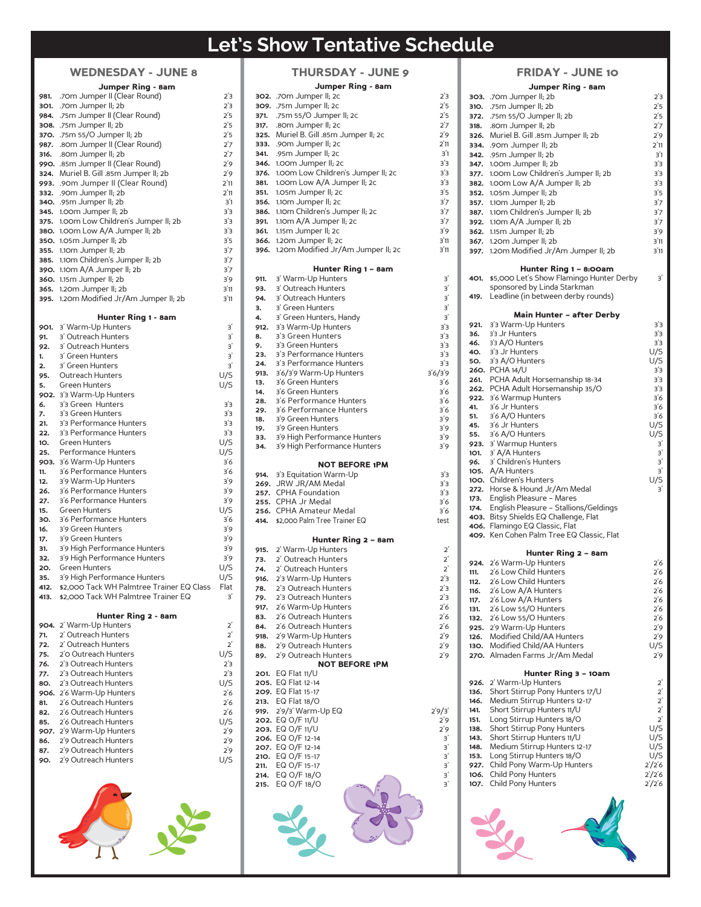# **Let's Show Tentative Schedule**

|      | <b>WEDNESDAY - JUNE 8</b>          |
|------|------------------------------------|
|      | Jumper Ring - 8am                  |
| 981. | .70m Jumper II (Clear Round)       |
| 301. | .70m Jumper II; 2b                 |
| 984. | .75m Jumper II (Clear Round)       |
| 308. | .75m Jumper II; 2b                 |
| 37O. | .75m 55/O Jumper II; 2b            |
| 987. | .80m Jumper II (Clear Round)       |
| 316. | .80m Jumper II; 2b                 |
| 990. | .85m Jumper II (Clear Round)       |
| 324. | Muriel B. Gill .85m Jumper II; 2b  |
| 993. | .90m Jumper II (Clear Round)       |
| 332. | .90m Jumper II; 2b                 |
| 340. | .95m Jumper II; 2b                 |
| 345. | 1.00m Jumper II; 2b                |
| 375. | 1.00m Low Children's Jumper II; 2b |
| 380. | 1.00m Low A/A Jumper II; 2b        |
| 35O. | 1.05m Jumper II; 2b                |
| 355. | 1.10m Jumper II; 2b                |
| 385. | 1.10m Children's Jumper II; 2b     |
| 390. | 1.10m A/A Jumper II; 2b            |
| 360. | 1.15m Jumper II; 2b                |
| 365. | 1.20m Jumper II; 2b                |
| 395. | 1.20m Modified Jr/Am Jumper II; 2b |
|      |                                    |
|      | Hunter Ring 1 - 8am                |
| 901. | 3' Warm-Up Hunters                 |
| 91.  | 3' Outreach Hunters                |
| 92.  | 3' Outreach Hunters                |
| 1.   | 3' Green Hunters                   |
| 2.   | 3' Green Hunters                   |
| 95.  | Outreach Hunters                   |

|      | WEDNESDAT - JUNE 8                        |         |
|------|-------------------------------------------|---------|
|      | Jumper Ring - 8am                         |         |
| 981. | .70m Jumper II (Clear Round)              | 2΄3     |
| 301. | .70m Jumper II; 2b                        | 2΄3     |
| 984. | .75m Jumper II (Clear Round)              | 2'5     |
| 308. | .75m Jumper II; 2b                        | 2'5     |
| 370. | .75m 55/O Jumper II; 2b                   | 2'5     |
| 987. | .80m Jumper II (Clear Round)              | 2'7     |
| 316. | .80m Jumper II; 2b                        | 2'7     |
| 990. | .85m Jumper II (Clear Round)              | 2'9     |
| 324. | Muriel B. Gill .85m Jumper II; 2b         | 2'9     |
| 993. | .90m Jumper II (Clear Round)              | 2'11    |
| 332. | .90m Jumper II; 2b                        | 2'11    |
| 340. | .95m Jumper II; 2b                        | 3'1     |
| 345. | 1.00m Jumper II; 2b                       | 3'3     |
| 375. | 1.00m Low Children's Jumper II; 2b        | з'з     |
|      | 380. 1.00m Low A/A Jumper II; 2b          | 3'3     |
|      | 350. 1.05m Jumper II; 2b                  | 3'5     |
| 355. | 1.10m Jumper II; 2b                       | 3'7     |
|      |                                           |         |
| 385. | 1.10m Children's Jumper II; 2b            | 3'7     |
|      | 390. 1.10m A/A Jumper II; 2b              | 3'7     |
|      | <b>360.</b> 1.15m Jumper II; 2b           | 3'9     |
|      | 365. 1.20m Jumper II; 2b                  | 3'11    |
| 395. | 1.20m Modified Jr/Am Jumper II; 2b        | 3'11    |
|      |                                           |         |
|      | Hunter Ring 1 - 8am                       |         |
| 901. | 3' Warm-Up Hunters                        | З       |
| 91.  | 3' Outreach Hunters                       | 3'      |
| 92.  | 3' Outreach Hunters                       | 3'      |
| 1.   | 3' Green Hunters                          | 3'      |
| 2.   | 3' Green Hunters                          | З       |
| 95.  | Outreach Hunters                          | U/S     |
| 5.   | <b>Green Hunters</b>                      | U/S     |
| 902. | 3'3 Warm-Up Hunters                       |         |
| 6.   | 3'3 Green Hunters                         | з'з     |
| 7.   | 3'3 Green Hunters                         | з'з     |
| 21.  | 3'3 Performance Hunters                   | з'з     |
| 22.  | 3'3 Performance Hunters                   | 3'3     |
| 10.  | Green Hunters                             | U/S     |
| 25.  | Performance Hunters                       | U/S     |
| 903. | 3'6 Warm-Up Hunters                       | 3'6     |
| 11.  | 3'6 Performance Hunters                   | 3'6     |
| 12.  | 3'9 Warm-Up Hunters                       | 3'9     |
| 26.  | 3'6 Performance Hunters                   | 3'9     |
| 27.  | 3'6 Performance Hunters                   | 3'9     |
| 15.  | <b>Green Hunters</b>                      | U/S     |
| 30.  | 3'6 Performance Hunters                   | 3'6     |
| 16.  | 3'9 Green Hunters                         | 3'9     |
| 17.  | 3'9 Green Hunters                         | 3'9     |
| 31.  | 3'9 High Performance Hunters              | 3'9     |
| 32.  | 3'9 High Performance Hunters              | 3'9     |
| 20.  | Green Hunters                             | U/S     |
| 35.  | 3'9 High Performance Hunters              | U/S     |
| 412. | \$2,000 Tack WH Palmtree Trainer EQ Class | Flat    |
| 413. | \$2,000 Tack WH Palmtree Trainer EQ       | З       |
|      |                                           |         |
|      | Hunter Ring 2 - 8am                       |         |
| 904. | 2' Warm-Up Hunters                        | 2       |
| 71.  | 2' Outreach Hunters                       | $2^{'}$ |
| 72.  | 2' Outreach Hunters                       | $2^{'}$ |
| 75.  | 2'O Outreach Hunters                      | U/S     |
| 76.  | 2'3 Outreach Hunters                      | 2΄3     |
| 77.  | 2'3 Outreach Hunters                      | 2΄3     |
| 80.  | 2'3 Outreach Hunters                      | U/S     |
| 906. | 2'6 Warm-Up Hunters                       | 2΄6     |
| 81.  | 2'6 Outreach Hunters                      | 2΄6     |
| 82.  | 2'6 Outreach Hunters                      | 2'6     |
|      |                                           |         |

| 85.<br>86. | 2'6 Outreach Hunters<br>907. 2'9 Warm-Up Hunters<br>2'9 Outreach Hunters | U/S<br>2'9<br>2'9 |
|------------|--------------------------------------------------------------------------|-------------------|
| 87.        | 2'9 Outreach Hunters                                                     | 2'9               |
| 90.        | 2'9 Outreach Hunters                                                     | U/S               |
|            |                                                                          |                   |

|              | <b>THURSDAY - JUNE 9</b>                           |                 |
|--------------|----------------------------------------------------|-----------------|
|              | Jumper Ring - 8am                                  |                 |
|              | 302. .70m Jumper II; 2c                            | 2'3             |
| 309.         | .75m Jumper II; 2c                                 | 2'5             |
| 371.<br>317. | .75m 55/O Jumper II; 2c<br>.80m Jumper II; 2c      | 2'5<br>2'7      |
| 325.         | Muriel B. Gill .85m Jumper II; 2c                  | 2'9             |
| 333.         | .90m Jumper II; 2c                                 | 2'11            |
| 341.         | .95m Jumper II; 2c                                 | 3'1             |
| 346.         | 1.00m Jumper II; 2c                                | 3'3             |
| 376.         | 1.00m Low Children's Jumper II; 2c                 | 3'3             |
| 381.         | 1.00m Low A/A Jumper II; 2c                        | 3'3<br>3'5      |
| 351.<br>356. | 1.05m Jumper II; 2c<br>1.10m Jumper II; 2c         | 3'7             |
| 386.         | 1.10m Children's Jumper II; 2c                     | 3'7             |
| 391.         | 1.10m A/A Jumper II; 2c                            | 3'7             |
| 361.         | 1.15m Jumper II; 2c                                | 3'9             |
| 366.         | 1.20m Jumper II; 2c                                | 3'11            |
| 396.         | 1.20m Modified Jr/Am Jumper II; 2c                 | 3'11            |
|              | Hunter Ring 1 – 8am                                |                 |
| 911.         | 3' Warm-Up Hunters                                 | $_3{}^{\prime}$ |
| 93.<br>94.   | 3' Outreach Hunters<br>3' Outreach Hunters         | З               |
| З.           | 3' Green Hunters                                   | З<br>3          |
| 4.           | 3' Green Hunters, Handy                            | З               |
| 912.         | 3'3 Warm-Up Hunters                                | з'з             |
| 8.           | 3'3 Green Hunters                                  | 3'3             |
| 9.           | 3'3 Green Hunters                                  | 3'3             |
| 23.          | 3'3 Performance Hunters<br>3'3 Performance Hunters | 3,3<br>3'3      |
| 24.<br>913.  | 3'6/3'9 Warm-Up Hunters                            | 3'6/3'9         |
| 13.          | 3'6 Green Hunters                                  | 3'6             |
| 14.          | 3'6 Green Hunters                                  | 3'6             |
| 28.          | 3'6 Performance Hunters                            | 3'6             |
| 29.<br>18.   | 3'6 Performance Hunters<br>3'9 Green Hunters       | 3'6<br>3'9      |
| 19.          | 3'9 Green Hunters                                  | 3'9             |
| 33.          | 3'9 High Performance Hunters                       | 3'9             |
| 34.          | 3'9 High Performance Hunters                       | 3'9             |
|              | <b>NOT BEFORE 1PM</b>                              |                 |
| 914.         | 3'3 Equitation Warm-Up                             | з'з             |
| 269.         | JRW JR/AM Medal                                    | 3'3             |
| 257.<br>255. | <b>CPHA Foundation</b><br>CPHA Jr Medal            | 3'3<br>3'6      |
|              | 256. CPHA Amateur Medal                            |                 |
|              |                                                    | 3'6             |
| 414.         | \$2,000 Palm Tree Trainer EQ                       | test            |
|              |                                                    |                 |
|              | Hunter Ring 2 – 8am                                |                 |
| 915.         | 2' Warm-Up Hunters                                 | $2^{'}$         |
| 73.<br>74.   | 2' Outreach Hunters<br>2' Outreach Hunters         | 2′<br>$2^{'}$   |
| 916.         | 2'3 Warm-Up Hunters                                | 23              |
| 78.          | 2'3 Outreach Hunters                               | 2'3             |
| 79.          | 2'3 Outreach Hunters                               | 2'3             |
| 917.         | 2'6 Warm-Up Hunters                                | 2΄6             |
| 83.          | 2'6 Outreach Hunters                               | 2'6             |
| 84.<br>918.  | 2'6 Outreach Hunters<br>2'9 Warm-Up Hunters        | 2'6             |
| 88.          | 2'9 Outreach Hunters                               | 2'9<br>2'9      |
| 89.          | 2'9 Outreach Hunters                               | 2′9             |
|              | <b>NOT BEFORE 1PM</b>                              |                 |
| 201.         | EQ Flat $11/U$<br>205. EQ Flat 12-14               |                 |
|              | 209. EQ Flat 15-17                                 |                 |
| 213.         | EQ Flat $18/O$                                     |                 |
| 919.         | 2'9/3' Warm-Up EQ                                  | 2'9/3'          |
|              | 202. EQ O/F 11/U                                   | 2'9             |
|              | 203. EQ O/F 11/U<br>206. EQ O/F 12-14              | 2′9<br>3'       |
|              | 207. EQ 0/F 12-14                                  | $_3{}^{\prime}$ |
| 210.         | EQ O/F 15-17                                       | З               |
| 211.         | EQ O/F 15-17                                       | 3'              |
| 214.<br>215. | EQ O/F 18/O<br>EQ O/F 18/O                         | 3<br>З΄         |
|              |                                                    |                 |
|              |                                                    |                 |
|              |                                                    |                 |
|              |                                                    |                 |

|              | <b>FRIDAY - JUNE 10</b>                                                 |                          |
|--------------|-------------------------------------------------------------------------|--------------------------|
|              | Jumper Ring - 8am                                                       |                          |
|              | 303. .70m Jumper II; 2b                                                 | 2'3                      |
| 31O.         | .75m Jumper II; 2b                                                      | 2΄5                      |
| 372.         | .75m 55/O Jumper II; 2b                                                 | 2'5                      |
| 318.         | .80m Jumper II; 2b<br>326. Muriel B. Gill .85m Jumper II; 2b            | 2΄7<br>2'9               |
|              | 334. .90m Jumper II; 2b                                                 | 2'11                     |
| 342.         | .95m Jumper II; 2b                                                      | 3'1                      |
|              | 347. 1.00m Jumper II; 2b                                                | 3'3                      |
|              | 377. 1.00m Low Children's Jumper II; 2b                                 | 3'3                      |
|              | 382. 1.00m Low A/A Jumper II; 2b                                        | 3'3                      |
|              | 352. 1.05m Jumper II; 2b<br>357. 1.10m Jumper II; 2b                    | 3'5<br>3'7               |
|              | 387. 1.10m Children's Jumper II; 2b                                     | 3'7                      |
|              | 392. 1.10m A/A Jumper II; 2b                                            | 3'7                      |
|              | 362. 1.15m Jumper II; 2b                                                | 3'9                      |
|              | 367. 1.20m Jumper II; 2b                                                | 3'11                     |
|              | 397. 1.20m Modified Jr/Am Jumper II; 2b                                 | 3'11                     |
|              | Hunter Ring 1 – 8:00am                                                  |                          |
| 401.         | \$5,000 Let's Show Flamingo Hunter Derby                                | 3'                       |
|              | sponsored by Linda Starkman                                             |                          |
| 419.         | Leadline (in between derby rounds)                                      |                          |
|              | Main Hunter – after Derby                                               |                          |
| 921.         | 3'3 Warm-Up Hunters                                                     | з'з                      |
| 36.          | 3'3 Jr Hunters                                                          | з'з                      |
| 46.          | 3'3 A/O Hunters                                                         | з'з                      |
| 40.          | 3'3 Jr Hunters                                                          | U/S                      |
| 50.          | 3'3 A/O Hunters<br>260. PCHA 14/U                                       | U/S<br>з'з               |
|              | 261. PCHA Adult Horsemanship 18-34                                      | 3'3                      |
|              | 262. PCHA Adult Horsemanship 35/O                                       | 3'3                      |
|              | 922. 3'6 Warmup Hunters                                                 | 3'6                      |
| 41.<br>51.   | 3'6 Jr Hunters<br>3'6 A/O Hunters                                       | 3′6<br>3'6               |
| 45.          | 3'6 Jr Hunters                                                          | U/S                      |
| 55.          | 3'6 A/O Hunters                                                         | U/S                      |
|              | 923. 3' Warmup Hunters                                                  | З                        |
|              | 101. 3' A/A Hunters                                                     | З                        |
| 96.          | 3' Children's Hunters<br>105. A/A Hunters                               | З<br>З                   |
|              | 100. Children's Hunters                                                 | U/S                      |
|              | 272. Horse & Hound Jr/Am Medal                                          | З                        |
| 173.         | English Pleasure – Mares                                                |                          |
|              | 174. English Pleasure - Stallions/Geldings                              |                          |
|              | 403. Bitsy Shields EQ Challenge, Flat<br>406. Flamingo EQ Classic, Flat |                          |
|              | 409. Ken Cohen Palm Tree EQ Classic, Flat                               |                          |
|              |                                                                         |                          |
|              | Hunter Ring 2 – 8am                                                     |                          |
| 111.         | 924. 2'6 Warm-Up Hunters<br>2'6 Low Child Hunters                       | 2΄6<br>2'6               |
| 112.         | 26 Low Child Hunters                                                    | 26                       |
| 116.         | 2'6 Low A/A Hunters                                                     | 2'6                      |
| 117.         | 2'6 Low A/A Hunters                                                     | 2'6                      |
| 131.         | 2'6 Low 55/O Hunters                                                    | 2'6                      |
| 132.         | 2'6 Low 55/O Hunters<br>2'9 Warm-Up Hunters                             | 2'6                      |
| 925.<br>126. | Modified Child/AA Hunters                                               | 2΄9<br>2'9               |
| 13O.         | Modified Child/AA Hunters                                               | U/S                      |
|              | 270. Almaden Farms Jr/Am Medal                                          | 2'9                      |
|              |                                                                         |                          |
| 926.         | Hunter Ring 3 – 10am<br>2' Warm-Up Hunters                              | $2^{'}$                  |
| 136.         | Short Stirrup Pony Hunters 17/U                                         | $2^{'}$                  |
| 146.         | Medium Stirrup Hunters 12-17                                            | $2^{'}$                  |
| 141.         | Short Stirrup Hunters 11/U                                              | $2^{'}$                  |
| 151.         | Long Stirrup Hunters 18/O                                               | $2^{'}$                  |
| 138.<br>143. | Short Stirrup Pony Hunters<br>Short Stirrup Hunters 11/U                | U/S<br>U/S               |
| 148.         | Medium Stirrup Hunters 12-17                                            | U/S                      |
| 153.         | Long Stirrup Hunters 18/0                                               | U/S                      |
| 927.         | Child Pony Warm-Up Hunters                                              | 2'/2'6                   |
| 106.         | Child Pony Hunters                                                      | $2^{\prime}/2^{\prime}6$ |
| 107.         | Child Pony Hunters                                                      | 2'/2'6                   |
|              |                                                                         |                          |
|              |                                                                         |                          |